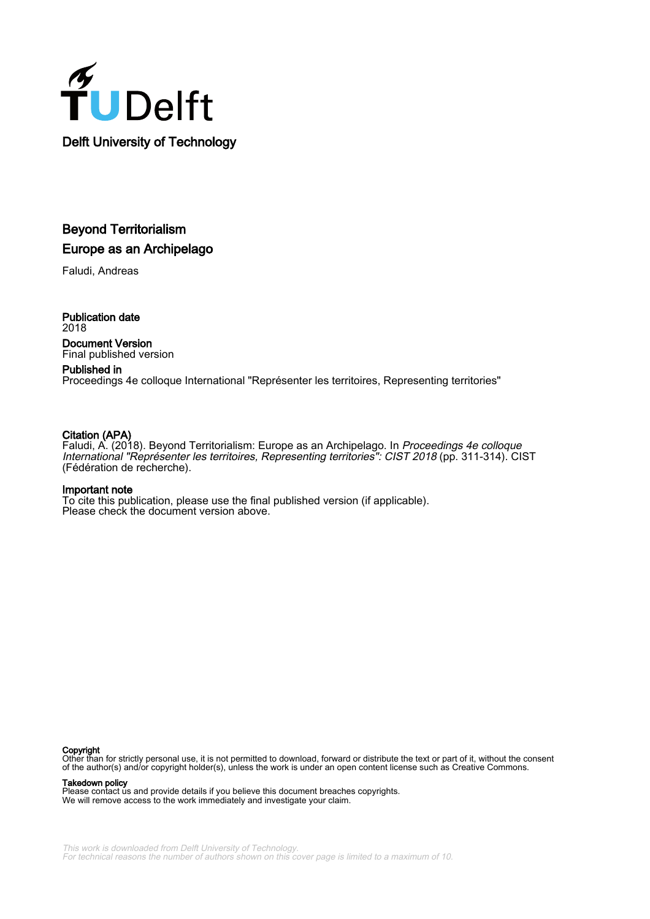

# Beyond Territorialism Europe as an Archipelago

Faludi, Andreas

Publication date 2018 Document Version Final published version

# Published in

Proceedings 4e colloque International "Représenter les territoires, Representing territories"

# Citation (APA)

Faludi, A. (2018). Beyond Territorialism: Europe as an Archipelago. In Proceedings 4e colloque International "Représenter les territoires, Representing territories": CIST 2018 (pp. 311-314). CIST (Fédération de recherche).

# Important note

To cite this publication, please use the final published version (if applicable). Please check the document version above.

# Copyright

Other than for strictly personal use, it is not permitted to download, forward or distribute the text or part of it, without the consent of the author(s) and/or copyright holder(s), unless the work is under an open content license such as Creative Commons.

# Takedown policy

Please contact us and provide details if you believe this document breaches copyrights. We will remove access to the work immediately and investigate your claim.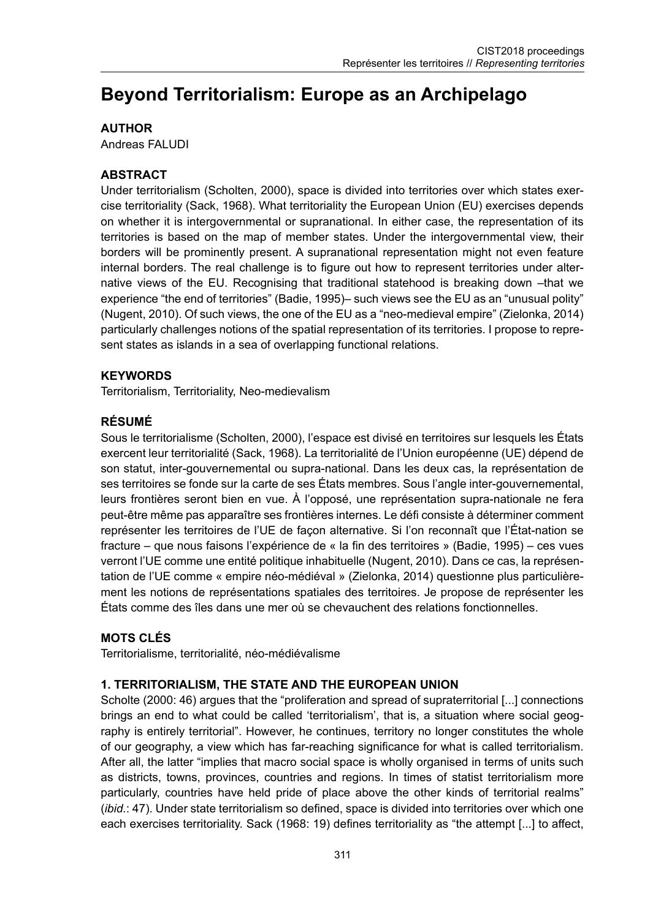# **Beyond Territorialism: Europe as an Archipelago**

# **AUTHOR**

Andreas FALUDI

## **ABSTRACT**

Under territorialism (Scholten, 2000), space is divided into territories over which states exercise territoriality (Sack, 1968). What territoriality the European Union (EU) exercises depends on whether it is intergovernmental or supranational. In either case, the representation of its territories is based on the map of member states. Under the intergovernmental view, their borders will be prominently present. A supranational representation might not even feature internal borders. The real challenge is to figure out how to represent territories under alternative views of the EU. Recognising that traditional statehood is breaking down –that we experience "the end of territories" (Badie, 1995)– such views see the EU as an "unusual polity" (Nugent, 2010). Of such views, the one of the EU as a "neo-medieval empire" (Zielonka, 2014) particularly challenges notions of the spatial representation of its territories. I propose to represent states as islands in a sea of overlapping functional relations.

#### **KEYWORDS**

Territorialism, Territoriality, Neo-medievalism

# **RÉSUMÉ**

Sous le territorialisme (Scholten, 2000), l'espace est divisé en territoires sur lesquels les États exercent leur territorialité (Sack, 1968). La territorialité de l'Union européenne (UE) dépend de son statut, inter-gouvernemental ou supra-national. Dans les deux cas, la représentation de ses territoires se fonde sur la carte de ses États membres. Sous l'angle inter-gouvernemental, leurs frontières seront bien en vue. À l'opposé, une représentation supra-nationale ne fera peut-être même pas apparaître ses frontières internes. Le défi consiste à déterminer comment représenter les territoires de l'UE de façon alternative. Si l'on reconnaît que l'État-nation se fracture – que nous faisons l'expérience de « la fin des territoires » (Badie, 1995) – ces vues verront l'UE comme une entité politique inhabituelle (Nugent, 2010). Dans ce cas, la représentation de l'UE comme « empire néo-médiéval » (Zielonka, 2014) questionne plus particulièrement les notions de représentations spatiales des territoires. Je propose de représenter les États comme des îles dans une mer où se chevauchent des relations fonctionnelles.

## **MOTS CLÉS**

Territorialisme, territorialité, néo-médiévalisme

## **1. TERRITORIALISM, THE STATE AND THE EUROPEAN UNION**

Scholte (2000: 46) argues that the "proliferation and spread of supraterritorial [...] connections brings an end to what could be called 'territorialism', that is, a situation where social geography is entirely territorial". However, he continues, territory no longer constitutes the whole of our geography, a view which has far-reaching significance for what is called territorialism. After all, the latter "implies that macro social space is wholly organised in terms of units such as districts, towns, provinces, countries and regions. In times of statist territorialism more particularly, countries have held pride of place above the other kinds of territorial realms" (*ibid.*: 47). Under state territorialism so defined, space is divided into territories over which one each exercises territoriality. Sack (1968: 19) defines territoriality as "the attempt [...] to affect,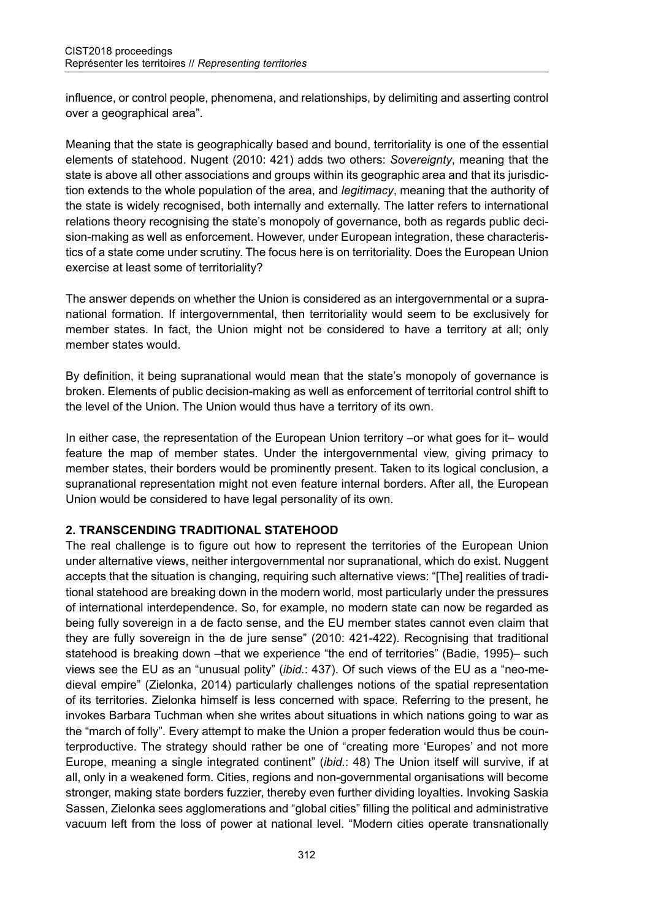influence, or control people, phenomena, and relationships, by delimiting and asserting control over a geographical area".

Meaning that the state is geographically based and bound, territoriality is one of the essential elements of statehood. Nugent (2010: 421) adds two others: *Sovereignty*, meaning that the state is above all other associations and groups within its geographic area and that its jurisdiction extends to the whole population of the area, and *legitimacy*, meaning that the authority of the state is widely recognised, both internally and externally. The latter refers to international relations theory recognising the state's monopoly of governance, both as regards public decision-making as well as enforcement. However, under European integration, these characteristics of a state come under scrutiny. The focus here is on territoriality. Does the European Union exercise at least some of territoriality?

The answer depends on whether the Union is considered as an intergovernmental or a supranational formation. If intergovernmental, then territoriality would seem to be exclusively for member states. In fact, the Union might not be considered to have a territory at all; only member states would.

By definition, it being supranational would mean that the state's monopoly of governance is broken. Elements of public decision-making as well as enforcement of territorial control shift to the level of the Union. The Union would thus have a territory of its own.

In either case, the representation of the European Union territory –or what goes for it– would feature the map of member states. Under the intergovernmental view, giving primacy to member states, their borders would be prominently present. Taken to its logical conclusion, a supranational representation might not even feature internal borders. After all, the European Union would be considered to have legal personality of its own.

#### **2. TRANSCENDING TRADITIONAL STATEHOOD**

The real challenge is to figure out how to represent the territories of the European Union under alternative views, neither intergovernmental nor supranational, which do exist. Nuggent accepts that the situation is changing, requiring such alternative views: "[The] realities of traditional statehood are breaking down in the modern world, most particularly under the pressures of international interdependence. So, for example, no modern state can now be regarded as being fully sovereign in a de facto sense, and the EU member states cannot even claim that they are fully sovereign in the de jure sense" (2010: 421-422). Recognising that traditional statehood is breaking down –that we experience "the end of territories" (Badie, 1995)– such views see the EU as an "unusual polity" (*ibid.*: 437). Of such views of the EU as a "neo-medieval empire" (Zielonka, 2014) particularly challenges notions of the spatial representation of its territories. Zielonka himself is less concerned with space. Referring to the present, he invokes Barbara Tuchman when she writes about situations in which nations going to war as the "march of folly". Every attempt to make the Union a proper federation would thus be counterproductive. The strategy should rather be one of "creating more 'Europes' and not more Europe, meaning a single integrated continent" (*ibid.*: 48) The Union itself will survive, if at all, only in a weakened form. Cities, regions and non-governmental organisations will become stronger, making state borders fuzzier, thereby even further dividing loyalties. Invoking Saskia Sassen, Zielonka sees agglomerations and "global cities" filling the political and administrative vacuum left from the loss of power at national level. "Modern cities operate transnationally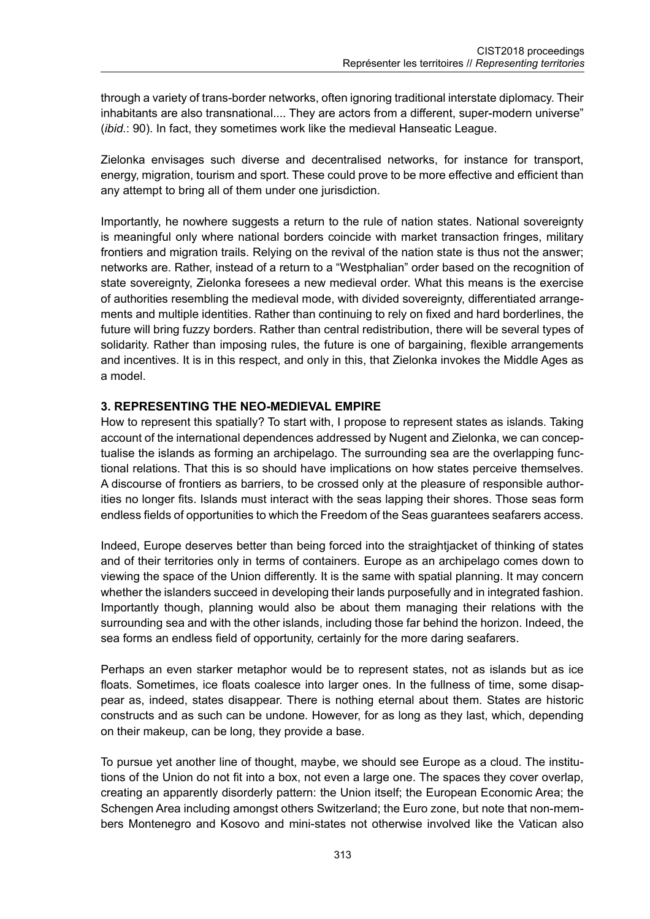through a variety of trans-border networks, often ignoring traditional interstate diplomacy. Their inhabitants are also transnational. They are actors from a different, super-modern universe" (*ibid.*: 90). In fact, they sometimes work like the medieval Hanseatic League.

Zielonka envisages such diverse and decentralised networks, for instance for transport, energy, migration, tourism and sport. These could prove to be more effective and efficient than any attempt to bring all of them under one jurisdiction.

Importantly, he nowhere suggests a return to the rule of nation states. National sovereignty is meaningful only where national borders coincide with market transaction fringes, military frontiers and migration trails. Relying on the revival of the nation state is thus not the answer; networks are. Rather, instead of a return to a "Westphalian" order based on the recognition of state sovereignty, Zielonka foresees a new medieval order. What this means is the exercise of authorities resembling the medieval mode, with divided sovereignty, differentiated arrangements and multiple identities. Rather than continuing to rely on fixed and hard borderlines, the future will bring fuzzy borders. Rather than central redistribution, there will be several types of solidarity. Rather than imposing rules, the future is one of bargaining, flexible arrangements and incentives. It is in this respect, and only in this, that Zielonka invokes the Middle Ages as a model.

#### **3. REPRESENTING THE NEO-MEDIEVAL EMPIRE**

How to represent this spatially? To start with, I propose to represent states as islands. Taking account of the international dependences addressed by Nugent and Zielonka, we can conceptualise the islands as forming an archipelago. The surrounding sea are the overlapping functional relations. That this is so should have implications on how states perceive themselves. A discourse of frontiers as barriers, to be crossed only at the pleasure of responsible authorities no longer fits. Islands must interact with the seas lapping their shores. Those seas form endless fields of opportunities to which the Freedom of the Seas guarantees seafarers access.

Indeed, Europe deserves better than being forced into the straightjacket of thinking of states and of their territories only in terms of containers. Europe as an archipelago comes down to viewing the space of the Union differently. It is the same with spatial planning. It may concern whether the islanders succeed in developing their lands purposefully and in integrated fashion. Importantly though, planning would also be about them managing their relations with the surrounding sea and with the other islands, including those far behind the horizon. Indeed, the sea forms an endless field of opportunity, certainly for the more daring seafarers.

Perhaps an even starker metaphor would be to represent states, not as islands but as ice floats. Sometimes, ice floats coalesce into larger ones. In the fullness of time, some disappear as, indeed, states disappear. There is nothing eternal about them. States are historic constructs and as such can be undone. However, for as long as they last, which, depending on their makeup, can be long, they provide a base.

To pursue yet another line of thought, maybe, we should see Europe as a cloud. The institutions of the Union do not fit into a box, not even a large one. The spaces they cover overlap, creating an apparently disorderly pattern: the Union itself; the European Economic Area; the Schengen Area including amongst others Switzerland; the Euro zone, but note that non-members Montenegro and Kosovo and mini-states not otherwise involved like the Vatican also